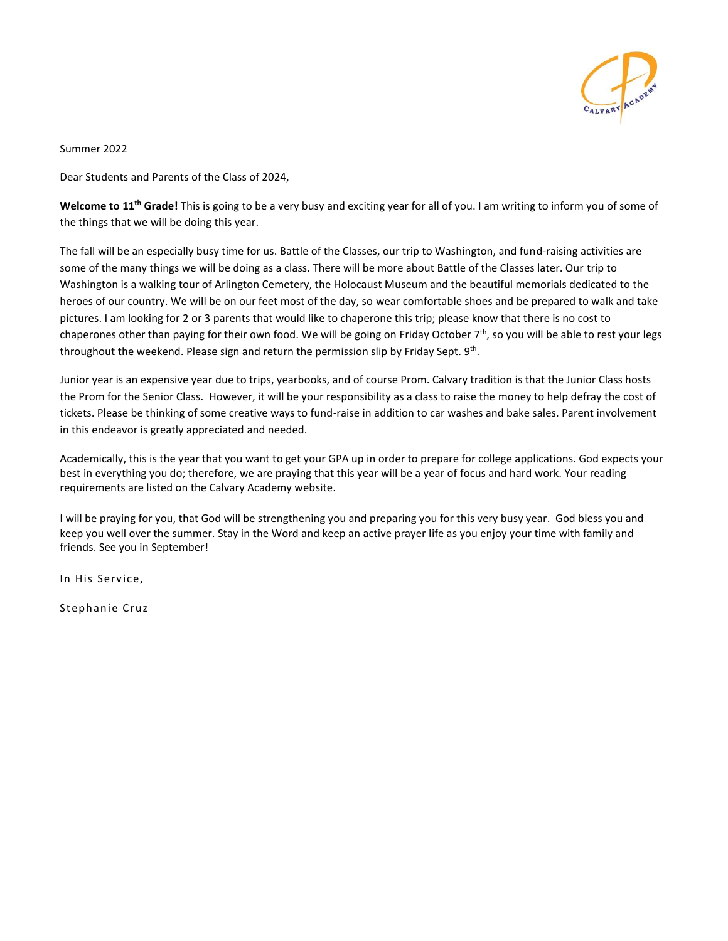

Summer 2022

Dear Students and Parents of the Class of 2024,

**Welcome to 11th Grade!** This is going to be a very busy and exciting year for all of you. I am writing to inform you of some of the things that we will be doing this year.

The fall will be an especially busy time for us. Battle of the Classes, our trip to Washington, and fund-raising activities are some of the many things we will be doing as a class. There will be more about Battle of the Classes later. Our trip to Washington is a walking tour of Arlington Cemetery, the Holocaust Museum and the beautiful memorials dedicated to the heroes of our country. We will be on our feet most of the day, so wear comfortable shoes and be prepared to walk and take pictures. I am looking for 2 or 3 parents that would like to chaperone this trip; please know that there is no cost to chaperones other than paying for their own food. We will be going on Friday October 7<sup>th</sup>, so you will be able to rest your legs throughout the weekend. Please sign and return the permission slip by Friday Sept. 9<sup>th</sup>.

Junior year is an expensive year due to trips, yearbooks, and of course Prom. Calvary tradition is that the Junior Class hosts the Prom for the Senior Class. However, it will be your responsibility as a class to raise the money to help defray the cost of tickets. Please be thinking of some creative ways to fund-raise in addition to car washes and bake sales. Parent involvement in this endeavor is greatly appreciated and needed.

Academically, this is the year that you want to get your GPA up in order to prepare for college applications. God expects your best in everything you do; therefore, we are praying that this year will be a year of focus and hard work. Your reading requirements are listed on the Calvary Academy website.

I will be praying for you, that God will be strengthening you and preparing you for this very busy year. God bless you and keep you well over the summer. Stay in the Word and keep an active prayer life as you enjoy your time with family and friends. See you in September!

In His Service.

Stephan ie Cruz